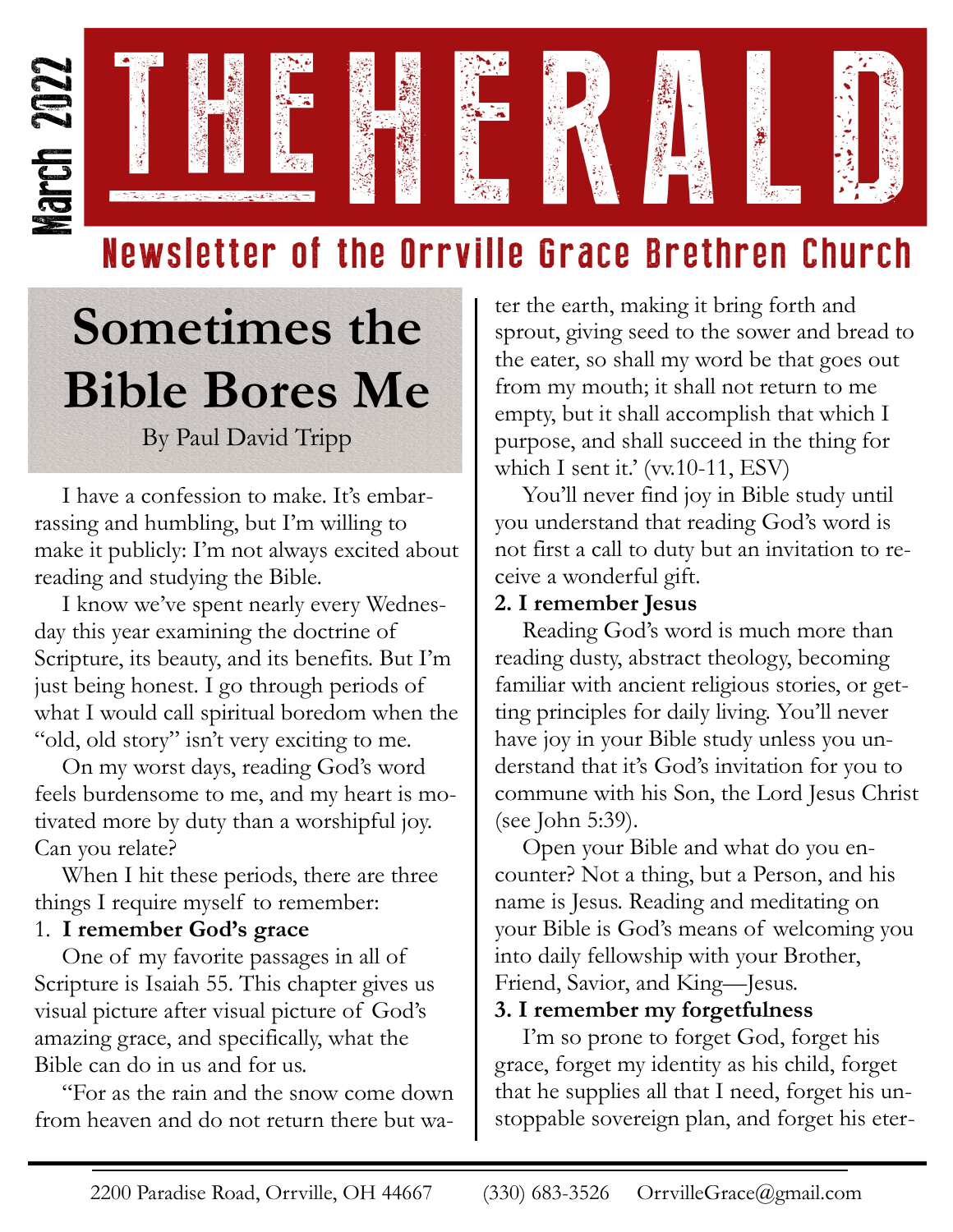

### Newsletter of the Orrville Grace Brethren Church

# **Sometimes the Bible Bores Me**

By Paul David Tripp

I have a confession to make. It's embarrassing and humbling, but I'm willing to make it publicly: I'm not always excited about reading and studying the Bible.

I know we've spent nearly every Wednesday this year examining the doctrine of Scripture, its beauty, and its benefits. But I'm just being honest. I go through periods of what I would call spiritual boredom when the "old, old story" isn't very exciting to me.

On my worst days, reading God's word feels burdensome to me, and my heart is motivated more by duty than a worshipful joy. Can you relate?

When I hit these periods, there are three things I require myself to remember:

#### 1. **I remember God's grace**

One of my favorite passages in all of Scripture is Isaiah 55. This chapter gives us visual picture after visual picture of God's amazing grace, and specifically, what the Bible can do in us and for us.

"For as the rain and the snow come down from heaven and do not return there but wa-

ter the earth, making it bring forth and sprout, giving seed to the sower and bread to the eater, so shall my word be that goes out from my mouth; it shall not return to me empty, but it shall accomplish that which I purpose, and shall succeed in the thing for which I sent it.' (vv.10-11, ESV)

You'll never find joy in Bible study until you understand that reading God's word is not first a call to duty but an invitation to receive a wonderful gift.

#### **2. I remember Jesus**

Reading God's word is much more than reading dusty, abstract theology, becoming familiar with ancient religious stories, or getting principles for daily living. You'll never have joy in your Bible study unless you understand that it's God's invitation for you to commune with his Son, the Lord Jesus Christ (see John 5:39).

Open your Bible and what do you encounter? Not a thing, but a Person, and his name is Jesus. Reading and meditating on your Bible is God's means of welcoming you into daily fellowship with your Brother, Friend, Savior, and King—Jesus.

#### **3. I remember my forgetfulness**

I'm so prone to forget God, forget his grace, forget my identity as his child, forget that he supplies all that I need, forget his unstoppable sovereign plan, and forget his eter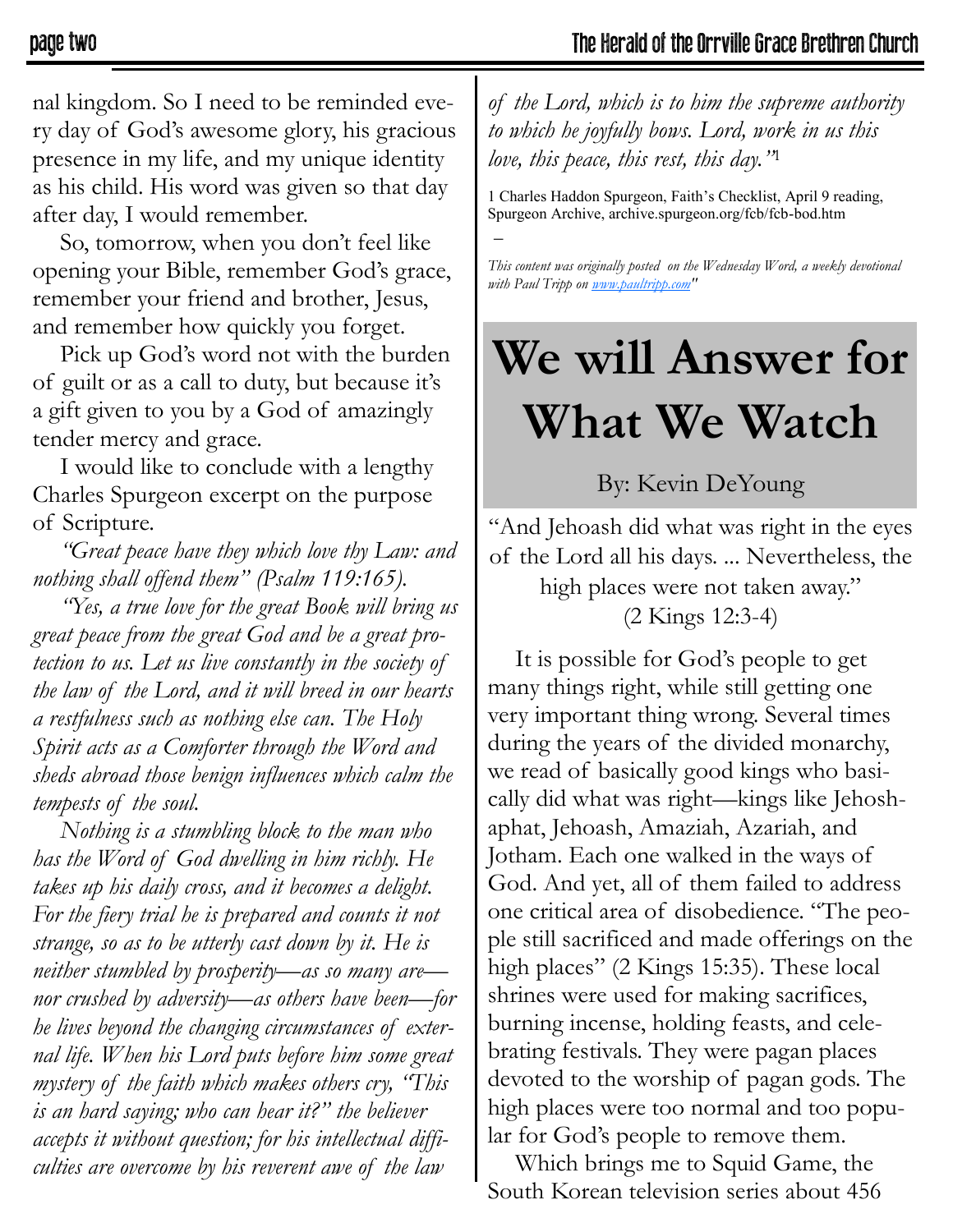nal kingdom. So I need to be reminded every day of God's awesome glory, his gracious presence in my life, and my unique identity as his child. His word was given so that day after day, I would remember.

So, tomorrow, when you don't feel like opening your Bible, remember God's grace, remember your friend and brother, Jesus, and remember how quickly you forget.

Pick up God's word not with the burden of guilt or as a call to duty, but because it's a gift given to you by a God of amazingly tender mercy and grace.

I would like to conclude with a lengthy Charles Spurgeon excerpt on the purpose of Scripture.

*"Great peace have they which love thy Law: and nothing shall offend them" (Psalm 119:165).*

*"Yes, a true love for the great Book will bring us great peace from the great God and be a great protection to us. Let us live constantly in the society of the law of the Lord, and it will breed in our hearts a restfulness such as nothing else can. The Holy Spirit acts as a Comforter through the Word and sheds abroad those benign influences which calm the tempests of the soul.*

*Nothing is a stumbling block to the man who has the Word of God dwelling in him richly. He takes up his daily cross, and it becomes a delight. For the fiery trial he is prepared and counts it not strange, so as to be utterly cast down by it. He is neither stumbled by prosperity—as so many are nor crushed by adversity—as others have been—for he lives beyond the changing circumstances of external life. When his Lord puts before him some great mystery of the faith which makes others cry, "This is an hard saying; who can hear it?" the believer accepts it without question; for his intellectual difficulties are overcome by his reverent awe of the law* 

*of the Lord, which is to him the supreme authority to which he joyfully bows. Lord, work in us this love, this peace, this rest, this day."*<sup>1</sup>

1 Charles Haddon Spurgeon, Faith's Checklist, April 9 reading, Spurgeon Archive, archive.spurgeon.org/fcb/fcb-bod.htm  $\overline{a}$ 

*This content was originally posted on the Wednesday Word, a weekly devotional with Paul Tripp on [www.paultripp.com"](http://www.paultripp.com)* 

## **We will Answer for What We Watch**

By: Kevin DeYoung

"And Jehoash did what was right in the eyes of the Lord all his days. ... Nevertheless, the high places were not taken away." (2 Kings 12:3-4)

It is possible for God's people to get many things right, while still getting one very important thing wrong. Several times during the years of the divided monarchy, we read of basically good kings who basically did what was right—kings like Jehoshaphat, Jehoash, Amaziah, Azariah, and Jotham. Each one walked in the ways of God. And yet, all of them failed to address one critical area of disobedience. "The people still sacrificed and made offerings on the high places" (2 Kings 15:35). These local shrines were used for making sacrifices, burning incense, holding feasts, and celebrating festivals. They were pagan places devoted to the worship of pagan gods. The high places were too normal and too popular for God's people to remove them.

Which brings me to Squid Game, the South Korean television series about 456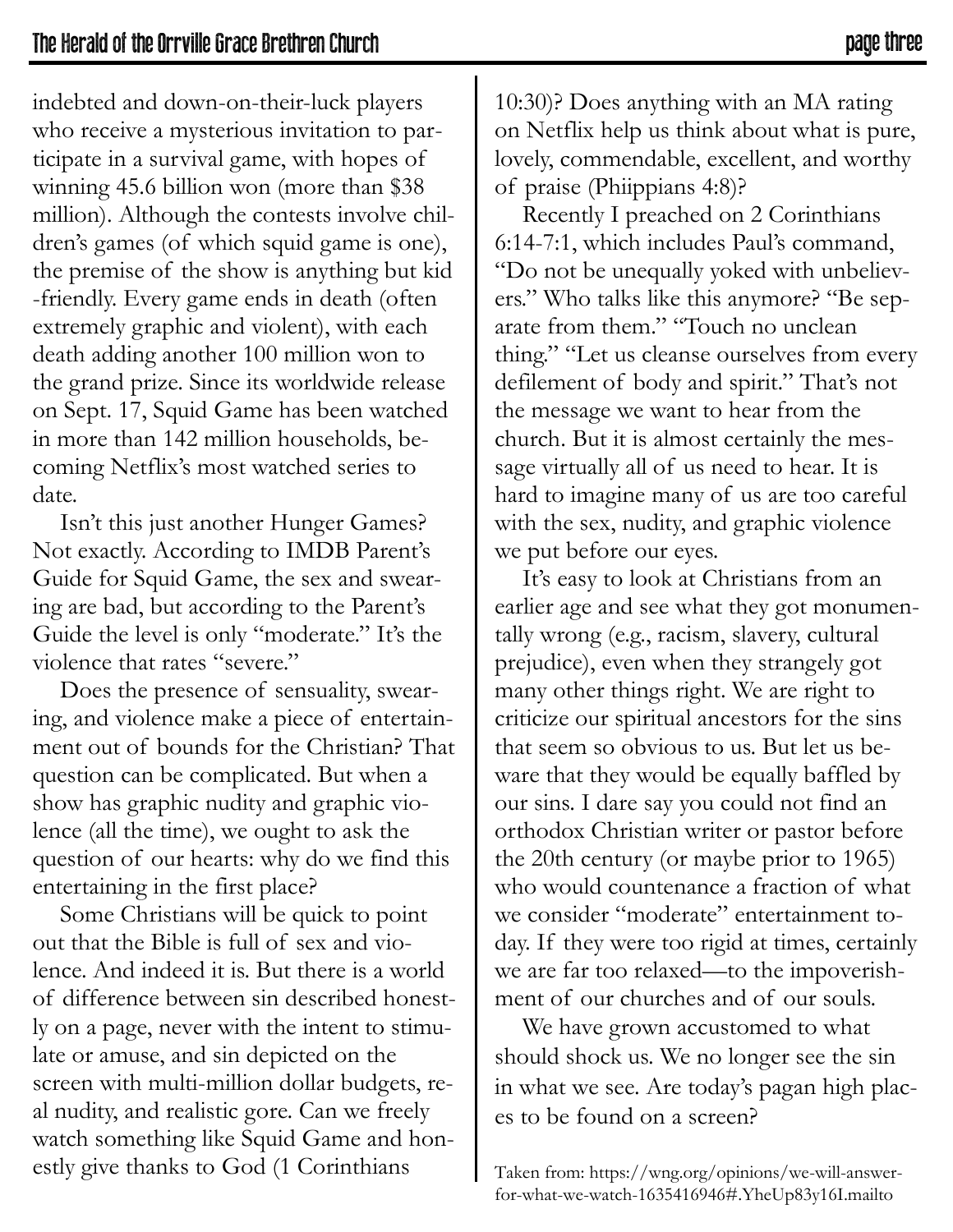indebted and down-on-their-luck players who receive a mysterious invitation to participate in a survival game, with hopes of winning 45.6 billion won (more than \$38 million). Although the contests involve children's games (of which squid game is one), the premise of the show is anything but kid -friendly. Every game ends in death (often extremely graphic and violent), with each death adding another 100 million won to the grand prize. Since its worldwide release on Sept. 17, Squid Game has been watched in more than 142 million households, becoming Netflix's most watched series to date.

Isn't this just another Hunger Games? Not exactly. According to IMDB Parent's Guide for Squid Game, the sex and swearing are bad, but according to the Parent's Guide the level is only "moderate." It's the violence that rates "severe."

Does the presence of sensuality, swearing, and violence make a piece of entertainment out of bounds for the Christian? That question can be complicated. But when a show has graphic nudity and graphic violence (all the time), we ought to ask the question of our hearts: why do we find this entertaining in the first place?

Some Christians will be quick to point out that the Bible is full of sex and violence. And indeed it is. But there is a world of difference between sin described honestly on a page, never with the intent to stimulate or amuse, and sin depicted on the screen with multi-million dollar budgets, real nudity, and realistic gore. Can we freely watch something like Squid Game and honestly give thanks to God (1 Corinthians

10:30)? Does anything with an MA rating on Netflix help us think about what is pure, lovely, commendable, excellent, and worthy of praise (Phiippians 4:8)?

Recently I preached on 2 Corinthians 6:14-7:1, which includes Paul's command, "Do not be unequally yoked with unbelievers." Who talks like this anymore? "Be separate from them." "Touch no unclean thing." "Let us cleanse ourselves from every defilement of body and spirit." That's not the message we want to hear from the church. But it is almost certainly the message virtually all of us need to hear. It is hard to imagine many of us are too careful with the sex, nudity, and graphic violence we put before our eyes.

It's easy to look at Christians from an earlier age and see what they got monumentally wrong (e.g., racism, slavery, cultural prejudice), even when they strangely got many other things right. We are right to criticize our spiritual ancestors for the sins that seem so obvious to us. But let us beware that they would be equally baffled by our sins. I dare say you could not find an orthodox Christian writer or pastor before the 20th century (or maybe prior to 1965) who would countenance a fraction of what we consider "moderate" entertainment today. If they were too rigid at times, certainly we are far too relaxed—to the impoverishment of our churches and of our souls.

We have grown accustomed to what should shock us. We no longer see the sin in what we see. Are today's pagan high places to be found on a screen?

Taken from: https://wng.org/opinions/we-will-answerfor-what-we-watch-1635416946#.YheUp83y16I.mailto